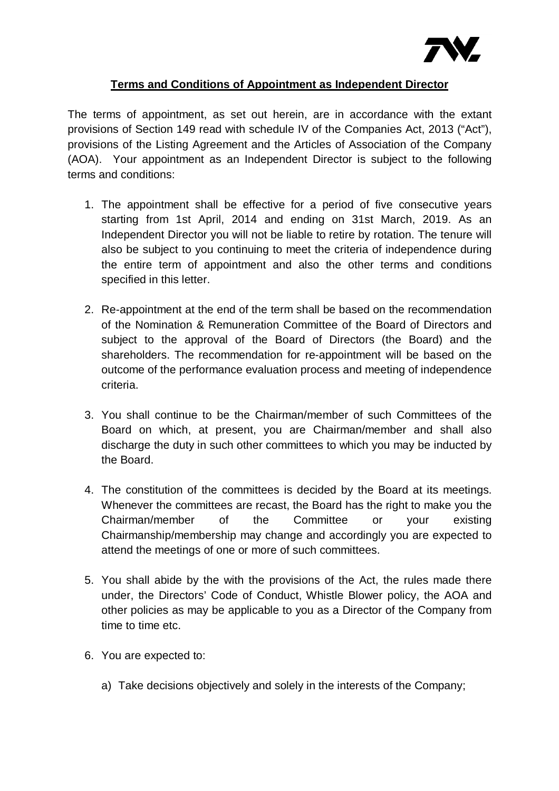

## **Terms and Conditions of Appointment as Independent Director**

The terms of appointment, as set out herein, are in accordance with the extant provisions of Section 149 read with schedule IV of the Companies Act, 2013 ("Act"), provisions of the Listing Agreement and the Articles of Association of the Company (AOA). Your appointment as an Independent Director is subject to the following terms and conditions:

- 1. The appointment shall be effective for a period of five consecutive years starting from 1st April, 2014 and ending on 31st March, 2019. As an Independent Director you will not be liable to retire by rotation. The tenure will also be subject to you continuing to meet the criteria of independence during the entire term of appointment and also the other terms and conditions specified in this letter.
- 2. Re-appointment at the end of the term shall be based on the recommendation of the Nomination & Remuneration Committee of the Board of Directors and subject to the approval of the Board of Directors (the Board) and the shareholders. The recommendation for re-appointment will be based on the outcome of the performance evaluation process and meeting of independence criteria.
- 3. You shall continue to be the Chairman/member of such Committees of the Board on which, at present, you are Chairman/member and shall also discharge the duty in such other committees to which you may be inducted by the Board.
- 4. The constitution of the committees is decided by the Board at its meetings. Whenever the committees are recast, the Board has the right to make you the Chairman/member of the Committee or your existing Chairmanship/membership may change and accordingly you are expected to attend the meetings of one or more of such committees.
- 5. You shall abide by the with the provisions of the Act, the rules made there under, the Directors' Code of Conduct, Whistle Blower policy, the AOA and other policies as may be applicable to you as a Director of the Company from time to time etc.
- 6. You are expected to:
	- a) Take decisions objectively and solely in the interests of the Company;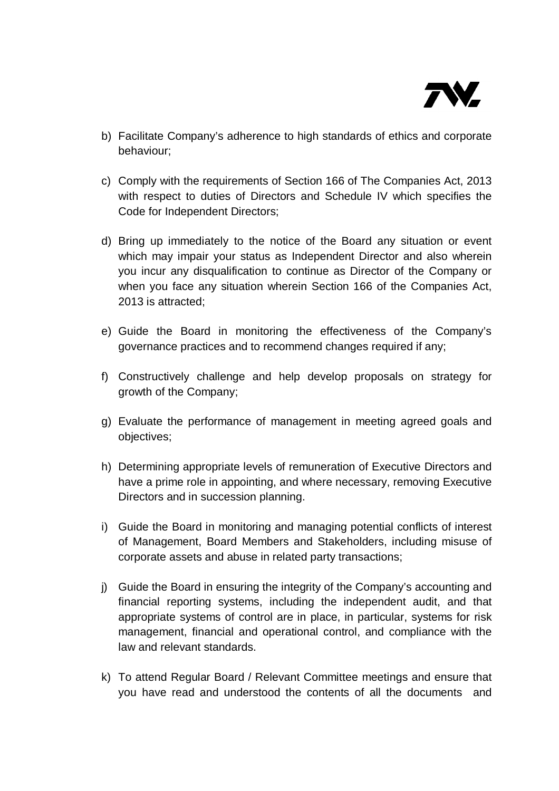

- b) Facilitate Company's adherence to high standards of ethics and corporate behaviour;
- c) Comply with the requirements of Section 166 of The Companies Act, 2013 with respect to duties of Directors and Schedule IV which specifies the Code for Independent Directors;
- d) Bring up immediately to the notice of the Board any situation or event which may impair your status as Independent Director and also wherein you incur any disqualification to continue as Director of the Company or when you face any situation wherein Section 166 of the Companies Act, 2013 is attracted;
- e) Guide the Board in monitoring the effectiveness of the Company's governance practices and to recommend changes required if any;
- f) Constructively challenge and help develop proposals on strategy for growth of the Company;
- g) Evaluate the performance of management in meeting agreed goals and objectives;
- h) Determining appropriate levels of remuneration of Executive Directors and have a prime role in appointing, and where necessary, removing Executive Directors and in succession planning.
- i) Guide the Board in monitoring and managing potential conflicts of interest of Management, Board Members and Stakeholders, including misuse of corporate assets and abuse in related party transactions;
- j) Guide the Board in ensuring the integrity of the Company's accounting and financial reporting systems, including the independent audit, and that appropriate systems of control are in place, in particular, systems for risk management, financial and operational control, and compliance with the law and relevant standards.
- k) To attend Regular Board / Relevant Committee meetings and ensure that you have read and understood the contents of all the documents and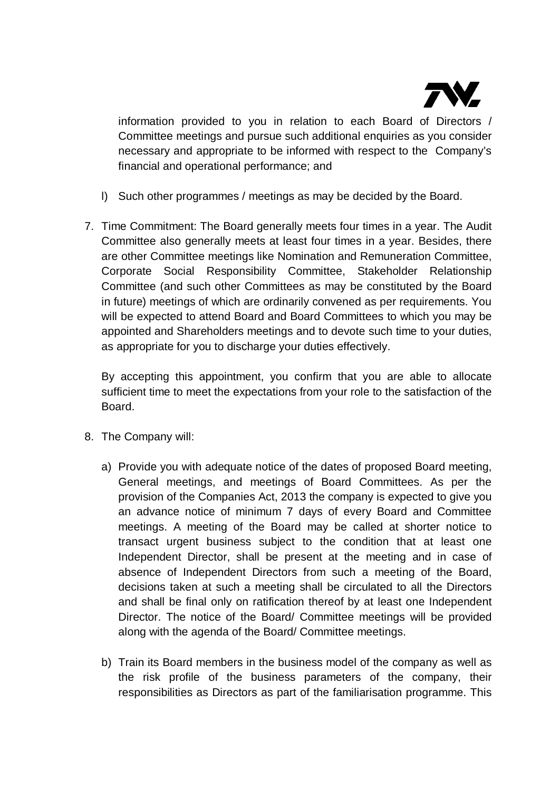

information provided to you in relation to each Board of Directors / Committee meetings and pursue such additional enquiries as you consider necessary and appropriate to be informed with respect to the Company's financial and operational performance; and

- l) Such other programmes / meetings as may be decided by the Board.
- 7. Time Commitment: The Board generally meets four times in a year. The Audit Committee also generally meets at least four times in a year. Besides, there are other Committee meetings like Nomination and Remuneration Committee, Corporate Social Responsibility Committee, Stakeholder Relationship Committee (and such other Committees as may be constituted by the Board in future) meetings of which are ordinarily convened as per requirements. You will be expected to attend Board and Board Committees to which you may be appointed and Shareholders meetings and to devote such time to your duties, as appropriate for you to discharge your duties effectively.

By accepting this appointment, you confirm that you are able to allocate sufficient time to meet the expectations from your role to the satisfaction of the Board.

- 8. The Company will:
	- a) Provide you with adequate notice of the dates of proposed Board meeting, General meetings, and meetings of Board Committees. As per the provision of the Companies Act, 2013 the company is expected to give you an advance notice of minimum 7 days of every Board and Committee meetings. A meeting of the Board may be called at shorter notice to transact urgent business subject to the condition that at least one Independent Director, shall be present at the meeting and in case of absence of Independent Directors from such a meeting of the Board, decisions taken at such a meeting shall be circulated to all the Directors and shall be final only on ratification thereof by at least one Independent Director. The notice of the Board/ Committee meetings will be provided along with the agenda of the Board/ Committee meetings.
	- b) Train its Board members in the business model of the company as well as the risk profile of the business parameters of the company, their responsibilities as Directors as part of the familiarisation programme. This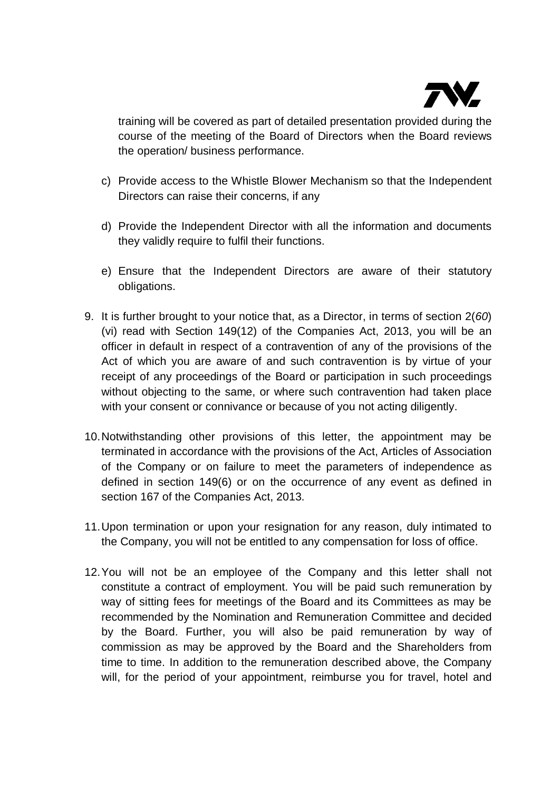

training will be covered as part of detailed presentation provided during the course of the meeting of the Board of Directors when the Board reviews the operation/ business performance.

- c) Provide access to the Whistle Blower Mechanism so that the Independent Directors can raise their concerns, if any
- d) Provide the Independent Director with all the information and documents they validly require to fulfil their functions.
- e) Ensure that the Independent Directors are aware of their statutory obligations.
- 9. It is further brought to your notice that, as a Director, in terms of section 2(*60*) (vi) read with Section 149(12) of the Companies Act, 2013, you will be an officer in default in respect of a contravention of any of the provisions of the Act of which you are aware of and such contravention is by virtue of your receipt of any proceedings of the Board or participation in such proceedings without objecting to the same, or where such contravention had taken place with your consent or connivance or because of you not acting diligently.
- 10.Notwithstanding other provisions of this letter, the appointment may be terminated in accordance with the provisions of the Act, Articles of Association of the Company or on failure to meet the parameters of independence as defined in section 149(6) or on the occurrence of any event as defined in section 167 of the Companies Act, 2013.
- 11.Upon termination or upon your resignation for any reason, duly intimated to the Company, you will not be entitled to any compensation for loss of office.
- 12.You will not be an employee of the Company and this letter shall not constitute a contract of employment. You will be paid such remuneration by way of sitting fees for meetings of the Board and its Committees as may be recommended by the Nomination and Remuneration Committee and decided by the Board. Further, you will also be paid remuneration by way of commission as may be approved by the Board and the Shareholders from time to time. In addition to the remuneration described above, the Company will, for the period of your appointment, reimburse you for travel, hotel and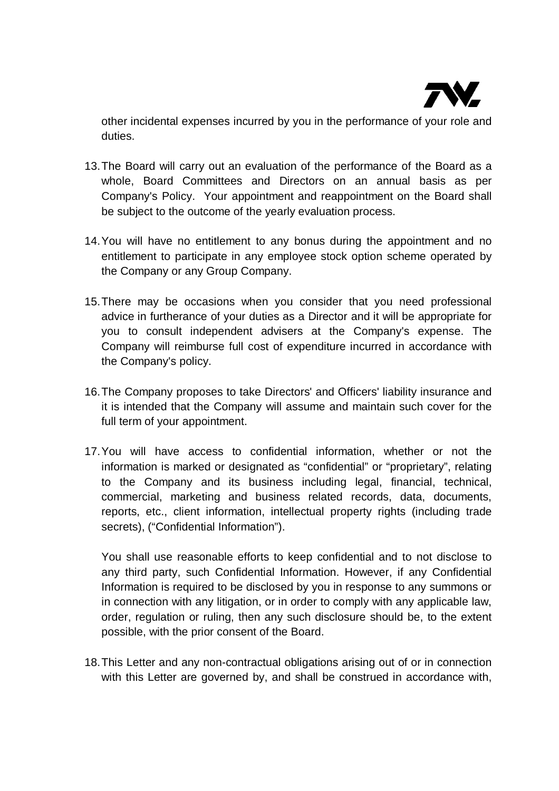

other incidental expenses incurred by you in the performance of your role and duties.

- 13.The Board will carry out an evaluation of the performance of the Board as a whole, Board Committees and Directors on an annual basis as per Company's Policy. Your appointment and reappointment on the Board shall be subject to the outcome of the yearly evaluation process.
- 14.You will have no entitlement to any bonus during the appointment and no entitlement to participate in any employee stock option scheme operated by the Company or any Group Company.
- 15.There may be occasions when you consider that you need professional advice in furtherance of your duties as a Director and it will be appropriate for you to consult independent advisers at the Company's expense. The Company will reimburse full cost of expenditure incurred in accordance with the Company's policy.
- 16.The Company proposes to take Directors' and Officers' liability insurance and it is intended that the Company will assume and maintain such cover for the full term of your appointment.
- 17.You will have access to confidential information, whether or not the information is marked or designated as "confidential" or "proprietary", relating to the Company and its business including legal, financial, technical, commercial, marketing and business related records, data, documents, reports, etc., client information, intellectual property rights (including trade secrets), ("Confidential Information").

You shall use reasonable efforts to keep confidential and to not disclose to any third party, such Confidential Information. However, if any Confidential Information is required to be disclosed by you in response to any summons or in connection with any litigation, or in order to comply with any applicable law, order, regulation or ruling, then any such disclosure should be, to the extent possible, with the prior consent of the Board.

18.This Letter and any non-contractual obligations arising out of or in connection with this Letter are governed by, and shall be construed in accordance with,